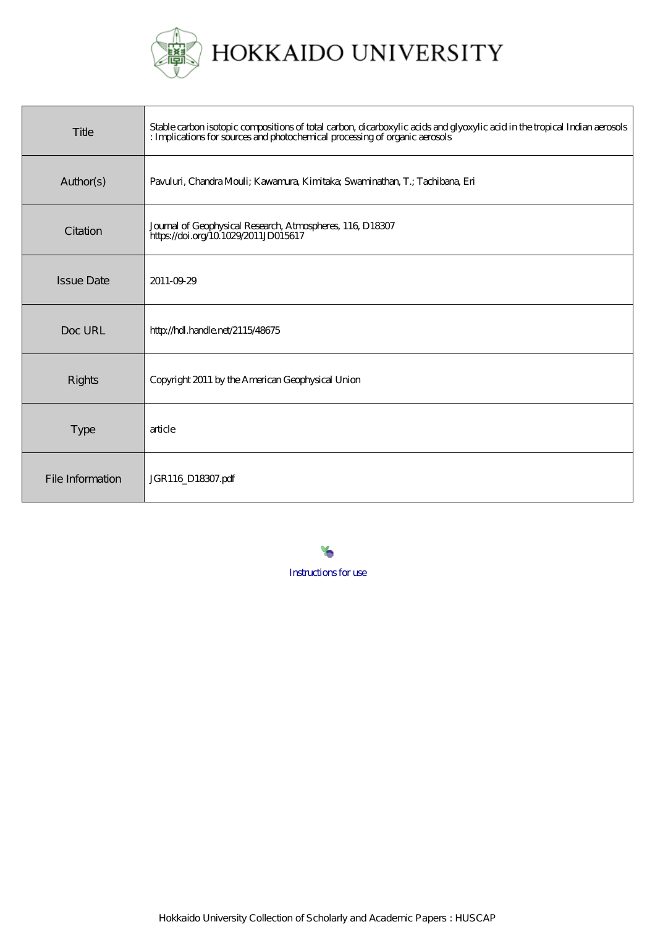

| Title             | Stable carbon isotopic compositions of total carbon, dicarboxylic acids and glyoxylic acid in the tropical Indian aerosols<br>: Implications for sources and photochemical processing of organic aerosols |
|-------------------|-----------------------------------------------------------------------------------------------------------------------------------------------------------------------------------------------------------|
| Author(s)         | Pavuluri, Chandra Mouli; Kawamura, Kimitaka; Swaminathan, T.; Tachibana, Eri                                                                                                                              |
| Citation          | Journal of Geophysical Research, Atmospheres, 116, D18307<br>https://doi.org/10 1029/2011JD015617                                                                                                         |
| <b>Issue Date</b> | 2011-09-29                                                                                                                                                                                                |
| Doc URL           | http://hdl.handle.net/2115/48675                                                                                                                                                                          |
| <b>Rights</b>     | Copyright 2011 by the American Geophysical Union                                                                                                                                                          |
| <b>Type</b>       | article                                                                                                                                                                                                   |
| File Information  | JGR116_D18307.pdf                                                                                                                                                                                         |

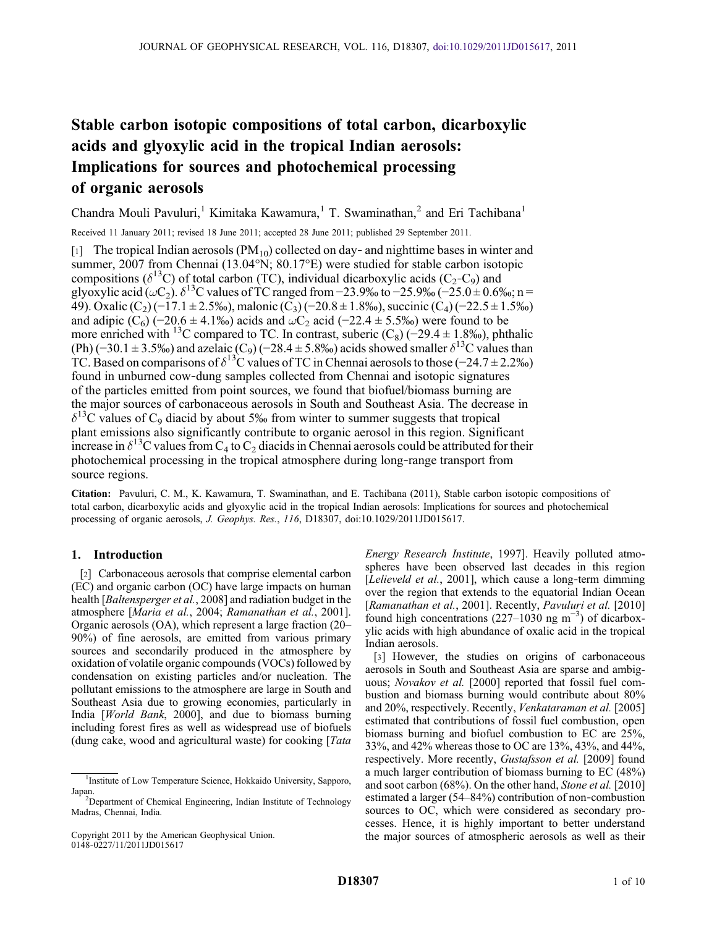# Stable carbon isotopic compositions of total carbon, dicarboxylic acids and glyoxylic acid in the tropical Indian aerosols: Implications for sources and photochemical processing of organic aerosols

Chandra Mouli Pavuluri,<sup>1</sup> Kimitaka Kawamura,<sup>1</sup> T. Swaminathan,<sup>2</sup> and Eri Tachibana<sup>1</sup>

Received 11 January 2011; revised 18 June 2011; accepted 28 June 2011; published 29 September 2011.

[1] The tropical Indian aerosols (PM<sub>10</sub>) collected on day- and nighttime bases in winter and summer, 2007 from Chennai (13.04°N; 80.17°E) were studied for stable carbon isotopic compositions ( $\delta^{13}$ C) of total carbon (TC), individual dicarboxylic acids (C<sub>2</sub>–C<sub>9</sub>) and glyoxylic acid ( $\omega$ C<sub>2</sub>).  $\delta$ <sup>13</sup>C values of TC ranged from −23.9‰ to −25.9‰ (−25.0 ± 0.6‰; n = 49). Oxalic  $(C_2)$  (−17.1 ± 2.5‰), malonic  $(C_3)$  (−20.8 ± 1.8‰), succinic (C<sub>4</sub>) (−22.5 ± 1.5‰) and adipic (C<sub>6</sub>) (−20.6 ± 4.1‰) acids and  $\omega$ C<sub>2</sub> acid (−22.4 ± 5.5‰) were found to be more enriched with <sup>13</sup>C compared to TC. In contrast, suberic (C<sub>8</sub>) (−29.4 ± 1.8‰), phthalic (Ph) (−30.1 ± 3.5‰) and azelaic (C<sub>9</sub>) (−28.4 ± 5.8‰) acids showed smaller  $\delta^{13}$ C values than TC. Based on comparisons of  $\delta^{13}$ C values of TC in Chennai aerosols to those (−24.7 ± 2.2‰) found in unburned cow‐dung samples collected from Chennai and isotopic signatures of the particles emitted from point sources, we found that biofuel/biomass burning are the major sources of carbonaceous aerosols in South and Southeast Asia. The decrease in  $\delta^{13}$ C values of C<sub>9</sub> diacid by about 5‰ from winter to summer suggests that tropical plant emissions also significantly contribute to organic aerosol in this region. Significant increase in  $\delta^{13}$ C values from C<sub>4</sub> to C<sub>2</sub> diacids in Chennai aerosols could be attributed for their photochemical processing in the tropical atmosphere during long‐range transport from source regions.

Citation: Pavuluri, C. M., K. Kawamura, T. Swaminathan, and E. Tachibana (2011), Stable carbon isotopic compositions of total carbon, dicarboxylic acids and glyoxylic acid in the tropical Indian aerosols: Implications for sources and photochemical processing of organic aerosols, J. Geophys. Res., 116, D18307, doi:10.1029/2011JD015617.

## 1. Introduction

[2] Carbonaceous aerosols that comprise elemental carbon (EC) and organic carbon (OC) have large impacts on human health [Baltensperger et al., 2008] and radiation budget in the atmosphere [Maria et al., 2004; Ramanathan et al., 2001]. Organic aerosols (OA), which represent a large fraction (20– 90%) of fine aerosols, are emitted from various primary sources and secondarily produced in the atmosphere by oxidation of volatile organic compounds (VOCs) followed by condensation on existing particles and/or nucleation. The pollutant emissions to the atmosphere are large in South and Southeast Asia due to growing economies, particularly in India [World Bank, 2000], and due to biomass burning including forest fires as well as widespread use of biofuels (dung cake, wood and agricultural waste) for cooking [Tata

Copyright 2011 by the American Geophysical Union. 0148‐0227/11/2011JD015617

Energy Research Institute, 1997]. Heavily polluted atmospheres have been observed last decades in this region [Lelieveld et al., 2001], which cause a long-term dimming over the region that extends to the equatorial Indian Ocean [Ramanathan et al., 2001]. Recently, Pavuluri et al. [2010] found high concentrations  $(227-1030 \text{ ng m}^{-3})$  of dicarboxylic acids with high abundance of oxalic acid in the tropical Indian aerosols.

[3] However, the studies on origins of carbonaceous aerosols in South and Southeast Asia are sparse and ambiguous; Novakov et al. [2000] reported that fossil fuel combustion and biomass burning would contribute about 80% and 20%, respectively. Recently, Venkataraman et al. [2005] estimated that contributions of fossil fuel combustion, open biomass burning and biofuel combustion to EC are 25%, 33%, and 42% whereas those to OC are 13%, 43%, and 44%, respectively. More recently, Gustafsson et al. [2009] found a much larger contribution of biomass burning to EC (48%) and soot carbon (68%). On the other hand, Stone et al. [2010] estimated a larger (54–84%) contribution of non‐combustion sources to OC, which were considered as secondary processes. Hence, it is highly important to better understand the major sources of atmospheric aerosols as well as their

<sup>&</sup>lt;sup>1</sup>Institute of Low Temperature Science, Hokkaido University, Sapporo, Japan.

Department of Chemical Engineering, Indian Institute of Technology Madras, Chennai, India.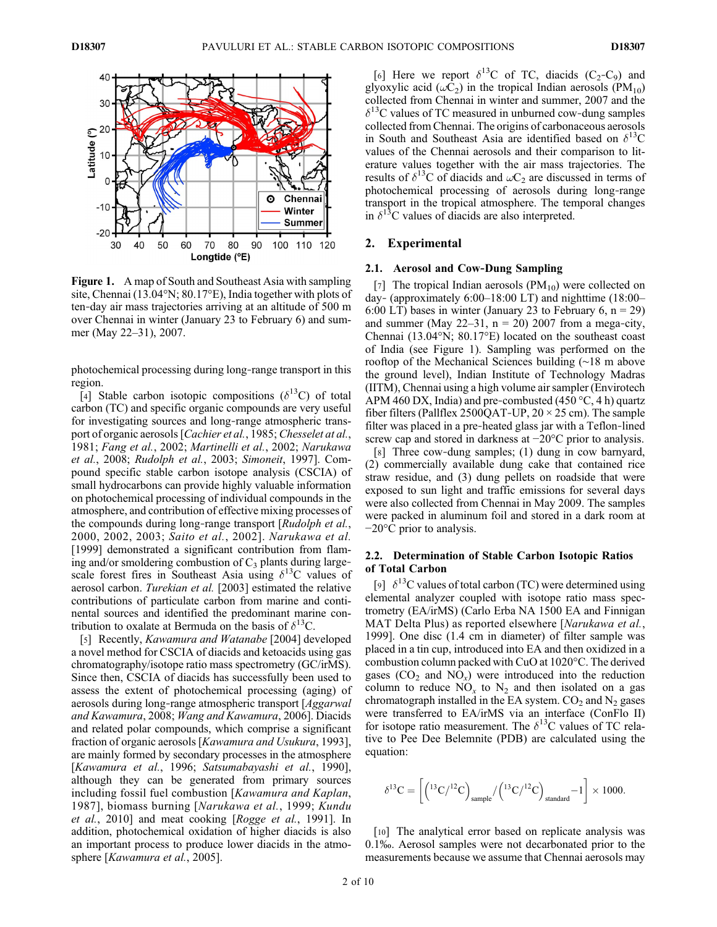

Figure 1. A map of South and Southeast Asia with sampling site, Chennai (13.04°N; 80.17°E), India together with plots of ten‐day air mass trajectories arriving at an altitude of 500 m over Chennai in winter (January 23 to February 6) and summer (May 22–31), 2007.

photochemical processing during long‐range transport in this region.

[4] Stable carbon isotopic compositions ( $\delta^{13}$ C) of total carbon (TC) and specific organic compounds are very useful for investigating sources and long-range atmospheric transport of organic aerosols [Cachier et al., 1985; Chesselet at al., 1981; Fang et al., 2002; Martinelli et al., 2002; Narukawa et al., 2008; Rudolph et al., 2003; Simoneit, 1997]. Compound specific stable carbon isotope analysis (CSCIA) of small hydrocarbons can provide highly valuable information on photochemical processing of individual compounds in the atmosphere, and contribution of effective mixing processes of the compounds during long-range transport [Rudolph et al., 2000, 2002, 2003; Saito et al., 2002]. Narukawa et al. [1999] demonstrated a significant contribution from flaming and/or smoldering combustion of  $C_3$  plants during large– scale forest fires in Southeast Asia using  $\delta^{13}$ C values of aerosol carbon. Turekian et al. [2003] estimated the relative contributions of particulate carbon from marine and continental sources and identified the predominant marine contribution to oxalate at Bermuda on the basis of  $\delta^{13}C$ .

[5] Recently, *Kawamura and Watanabe* [2004] developed a novel method for CSCIA of diacids and ketoacids using gas chromatography/isotope ratio mass spectrometry (GC/irMS). Since then, CSCIA of diacids has successfully been used to assess the extent of photochemical processing (aging) of aerosols during long‐range atmospheric transport [Aggarwal and Kawamura, 2008; Wang and Kawamura, 2006]. Diacids and related polar compounds, which comprise a significant fraction of organic aerosols [Kawamura and Usukura, 1993], are mainly formed by secondary processes in the atmosphere [Kawamura et al., 1996; Satsumabayashi et al., 1990], although they can be generated from primary sources including fossil fuel combustion [Kawamura and Kaplan, 1987], biomass burning [Narukawa et al., 1999; Kundu et al., 2010] and meat cooking [Rogge et al., 1991]. In addition, photochemical oxidation of higher diacids is also an important process to produce lower diacids in the atmosphere [Kawamura et al., 2005].

[6] Here we report  $\delta^{13}C$  of TC, diacids (C<sub>2</sub>-C<sub>9</sub>) and glyoxylic acid ( $\omega$ C<sub>2</sub>) in the tropical Indian aerosols (PM<sub>10</sub>) collected from Chennai in winter and summer, 2007 and the  $\delta^{13}$ C values of TC measured in unburned cow-dung samples collected from Chennai. The origins of carbonaceous aerosols in South and Southeast Asia are identified based on  $\delta^{13}C$ values of the Chennai aerosols and their comparison to literature values together with the air mass trajectories. The results of  $\delta^{13}$ C of diacids and  $\omega C_2$  are discussed in terms of photochemical processing of aerosols during long‐range transport in the tropical atmosphere. The temporal changes in  $\delta^{13}$ C values of diacids are also interpreted.

#### 2. Experimental

#### 2.1. Aerosol and Cow‐Dung Sampling

[7] The tropical Indian aerosols  $(PM_{10})$  were collected on day‐ (approximately 6:00–18:00 LT) and nighttime (18:00– 6:00 LT) bases in winter (January 23 to February 6,  $n = 29$ ) and summer (May 22–31,  $n = 20$ ) 2007 from a mega-city, Chennai (13.04°N; 80.17°E) located on the southeast coast of India (see Figure 1). Sampling was performed on the rooftop of the Mechanical Sciences building (∼18 m above the ground level), Indian Institute of Technology Madras (IITM), Chennai using a high volume air sampler (Envirotech APM 460 DX, India) and pre-combusted (450  $\degree$ C, 4 h) quartz fiber filters (Pallflex 2500QAT-UP,  $20 \times 25$  cm). The sample filter was placed in a pre‐heated glass jar with a Teflon‐lined screw cap and stored in darkness at −20°C prior to analysis.

[8] Three cow-dung samples; (1) dung in cow barnyard, (2) commercially available dung cake that contained rice straw residue, and (3) dung pellets on roadside that were exposed to sun light and traffic emissions for several days were also collected from Chennai in May 2009. The samples were packed in aluminum foil and stored in a dark room at −20°C prior to analysis.

## 2.2. Determination of Stable Carbon Isotopic Ratios of Total Carbon

[9]  $\delta^{13}$ C values of total carbon (TC) were determined using elemental analyzer coupled with isotope ratio mass spectrometry (EA/irMS) (Carlo Erba NA 1500 EA and Finnigan MAT Delta Plus) as reported elsewhere [Narukawa et al., 1999]. One disc (1.4 cm in diameter) of filter sample was placed in a tin cup, introduced into EA and then oxidized in a combustion column packed with CuO at 1020°C. The derived gases  $(CO_2$  and  $NO_x)$  were introduced into the reduction column to reduce  $NO_x$  to  $N_2$  and then isolated on a gas chromatograph installed in the EA system.  $CO<sub>2</sub>$  and  $N<sub>2</sub>$  gases were transferred to EA/irMS via an interface (ConFlo II) for isotope ratio measurement. The  $\delta^{13}$ C values of TC relative to Pee Dee Belemnite (PDB) are calculated using the equation:

$$
\delta^{13}C = \left[ \left(^{13}C/^{12}C \right)_{sample} / \left(^{13}C/^{12}C \right)_{standard} - 1 \right] \times 1000.
$$

[10] The analytical error based on replicate analysis was 0.1‰. Aerosol samples were not decarbonated prior to the measurements because we assume that Chennai aerosols may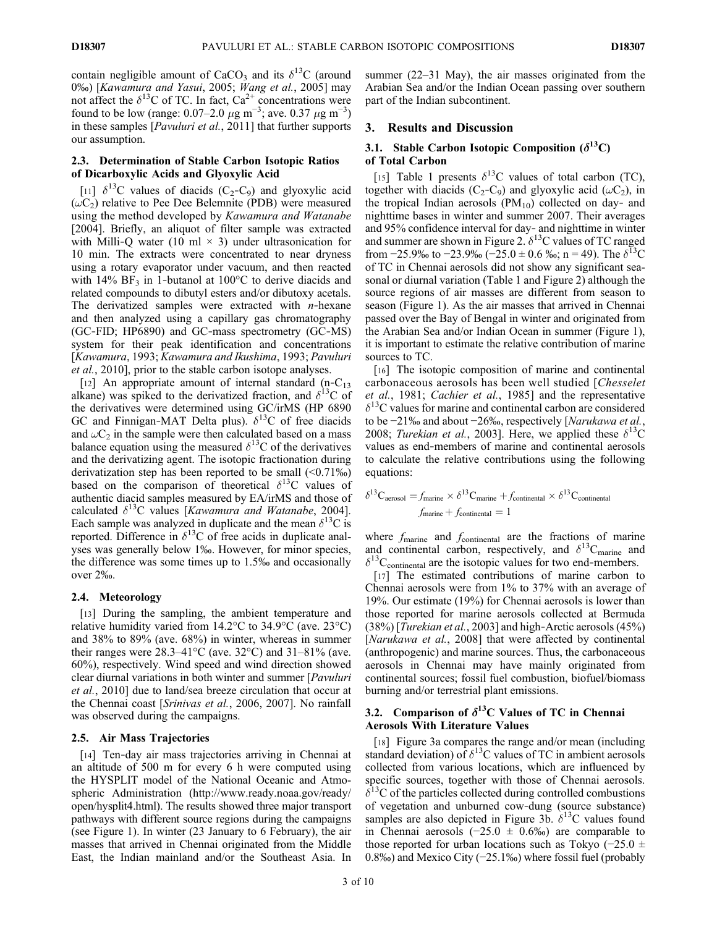contain negligible amount of CaCO<sub>3</sub> and its  $\delta^{13}$ C (around 0‰) [Kawamura and Yasui, 2005; Wang et al., 2005] may not affect the  $\delta^{13}$ C of TC. In fact, Ca<sup>2+</sup> concentrations were found to be low (range:  $0.07-2.0 \ \mu g \ m^{-3}$ ; ave.  $0.37 \ \mu g \ m^{-3}$ ) in these samples [Pavuluri et al., 2011] that further supports our assumption.

## 2.3. Determination of Stable Carbon Isotopic Ratios of Dicarboxylic Acids and Glyoxylic Acid

[11]  $\delta^{13}$ C values of diacids (C<sub>2</sub>-C<sub>9</sub>) and glyoxylic acid  $(\omega C_2)$  relative to Pee Dee Belemnite (PDB) were measured using the method developed by Kawamura and Watanabe [2004]. Briefly, an aliquot of filter sample was extracted with Milli-Q water (10 ml  $\times$  3) under ultrasonication for 10 min. The extracts were concentrated to near dryness using a rotary evaporator under vacuum, and then reacted with  $14\%$  BF<sub>3</sub> in 1-butanol at  $100\degree$ C to derive diacids and related compounds to dibutyl esters and/or dibutoxy acetals. The derivatized samples were extracted with  $n$ -hexane and then analyzed using a capillary gas chromatography (GC‐FID; HP6890) and GC‐mass spectrometry (GC‐MS) system for their peak identification and concentrations [Kawamura, 1993; Kawamura and Ikushima, 1993; Pavuluri et al., 2010], prior to the stable carbon isotope analyses.

[12] An appropriate amount of internal standard  $(n-C_{13})$ alkane) was spiked to the derivatized fraction, and  $\delta^{13}C$  of the derivatives were determined using GC/irMS (HP 6890 GC and Finnigan-MAT Delta plus).  $\delta^{13}$ C of free diacids and  $\omega C_2$  in the sample were then calculated based on a mass balance equation using the measured  $\delta^{13}$ C of the derivatives and the derivatizing agent. The isotopic fractionation during derivatization step has been reported to be small  $(\leq 0.71\%)$ based on the comparison of theoretical  $\delta^{13}$ C values of authentic diacid samples measured by EA/irMS and those of calculated  $\delta^{13}$ C values [Kawamura and Watanabe, 2004]. Each sample was analyzed in duplicate and the mean  $\delta^{13}C$  is reported. Difference in  $\delta^{13}$ C of free acids in duplicate analyses was generally below 1‰. However, for minor species, the difference was some times up to 1.5‰ and occasionally over 2‰.

## 2.4. Meteorology

[13] During the sampling, the ambient temperature and relative humidity varied from 14.2°C to 34.9°C (ave. 23°C) and 38% to 89% (ave. 68%) in winter, whereas in summer their ranges were  $28.3-41^{\circ}\text{C}$  (ave.  $32^{\circ}\text{C}$ ) and  $31-81\%$  (ave. 60%), respectively. Wind speed and wind direction showed clear diurnal variations in both winter and summer [Pavuluri et al., 2010] due to land/sea breeze circulation that occur at the Chennai coast [Srinivas et al., 2006, 2007]. No rainfall was observed during the campaigns.

## 2.5. Air Mass Trajectories

[14] Ten-day air mass trajectories arriving in Chennai at an altitude of 500 m for every 6 h were computed using the HYSPLIT model of the National Oceanic and Atmospheric Administration (http://www.ready.noaa.gov/ready/ open/hysplit4.html). The results showed three major transport pathways with different source regions during the campaigns (see Figure 1). In winter (23 January to 6 February), the air masses that arrived in Chennai originated from the Middle East, the Indian mainland and/or the Southeast Asia. In

summer (22–31 May), the air masses originated from the Arabian Sea and/or the Indian Ocean passing over southern part of the Indian subcontinent.

## 3. Results and Discussion

## 3.1. Stable Carbon Isotopic Composition  $(\delta^{13}C)$ of Total Carbon

[15] Table 1 presents  $\delta^{13}$ C values of total carbon (TC), together with diacids (C<sub>2</sub>-C<sub>9</sub>) and glyoxylic acid ( $\omega$ C<sub>2</sub>), in the tropical Indian aerosols  $(PM_{10})$  collected on day- and nighttime bases in winter and summer 2007. Their averages and 95% confidence interval for day‐ and nighttime in winter and summer are shown in Figure 2.  $\delta^{13}$ C values of TC ranged from  $-25.9\%$  to  $-23.9\%$  ( $-25.0 \pm 0.6\%$ ); n = 49). The  $\delta^{13}$ C of TC in Chennai aerosols did not show any significant seasonal or diurnal variation (Table 1 and Figure 2) although the source regions of air masses are different from season to season (Figure 1). As the air masses that arrived in Chennai passed over the Bay of Bengal in winter and originated from the Arabian Sea and/or Indian Ocean in summer (Figure 1), it is important to estimate the relative contribution of marine sources to TC.

[16] The isotopic composition of marine and continental carbonaceous aerosols has been well studied [Chesselet et al., 1981; Cachier et al., 1985] and the representative  $\delta$ <sup>13</sup>C values for marine and continental carbon are considered to be −21‰ and about −26‰, respectively [Narukawa et al., 2008; Turekian et al., 2003]. Here, we applied these  $\delta^{13}$ C values as end‐members of marine and continental aerosols to calculate the relative contributions using the following equations:

$$
\delta^{13}\text{C}_{\text{aerosol}} = f_{\text{marine}} \times \delta^{13}\text{C}_{\text{marine}} + f_{\text{continued}} \times \delta^{13}\text{C}_{\text{continued}}
$$

$$
f_{\text{marine}} + f_{\text{continued}} = 1
$$

where  $f_{\text{marine}}$  and  $f_{\text{continental}}$  are the fractions of marine and continental carbon, respectively, and  $\delta^{13}C_{\text{marine}}$  and  $\delta^{13}$ C<sub>continental</sub> are the isotopic values for two end-members.

[17] The estimated contributions of marine carbon to Chennai aerosols were from 1% to 37% with an average of 19%. Our estimate (19%) for Chennai aerosols is lower than those reported for marine aerosols collected at Bermuda  $(38\%)$  [*Turekian et al.*, 2003] and high-Arctic aerosols  $(45\%)$ [Narukawa et al., 2008] that were affected by continental (anthropogenic) and marine sources. Thus, the carbonaceous aerosols in Chennai may have mainly originated from continental sources; fossil fuel combustion, biofuel/biomass burning and/or terrestrial plant emissions.

## 3.2. Comparison of  $\delta^{13}$ C Values of TC in Chennai Aerosols With Literature Values

[18] Figure 3a compares the range and/or mean (including standard deviation) of  $\delta^{13}$ C values of TC in ambient aerosols collected from various locations, which are influenced by specific sources, together with those of Chennai aerosols.  $\delta^{13}$ C of the particles collected during controlled combustions of vegetation and unburned cow‐dung (source substance) samples are also depicted in Figure 3b.  $\delta^{13}$ C values found in Chennai aerosols (−25.0 ± 0.6‰) are comparable to those reported for urban locations such as Tokyo (−25.0 ± 0.8‰) and Mexico City (−25.1‰) where fossil fuel (probably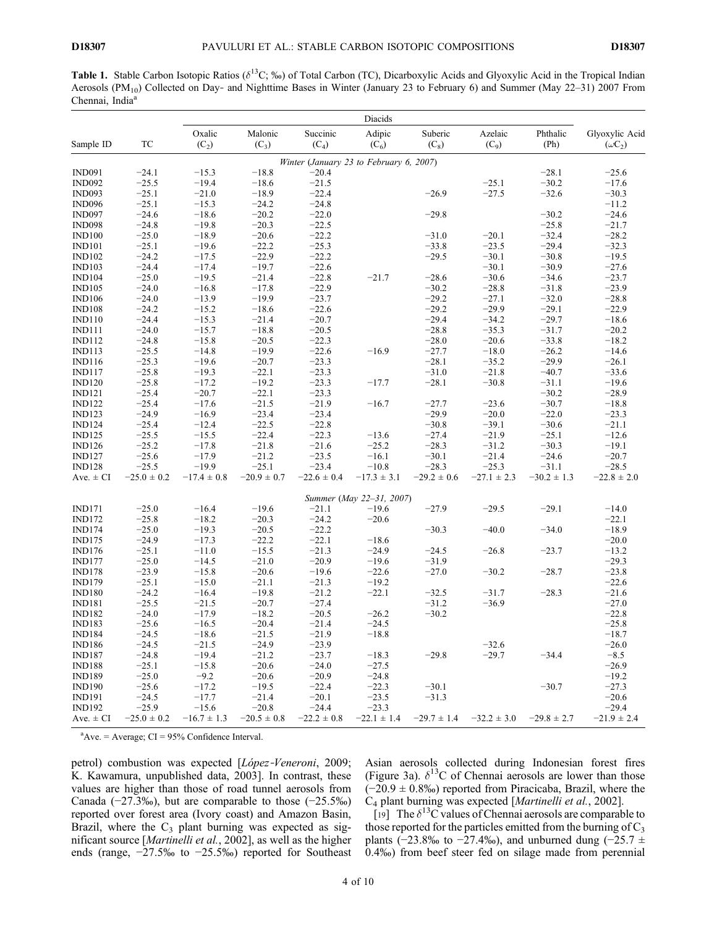**Table 1.** Stable Carbon Isotopic Ratios ( $\delta^{13}C$ ; ‰) of Total Carbon (TC), Dicarboxylic Acids and Glyoxylic Acid in the Tropical Indian Aerosols (PM<sub>10</sub>) Collected on Day- and Nighttime Bases in Winter (January 23 to February 6) and Summer (May 22–31) 2007 From Chennai, India<sup>a</sup>

 $\overline{\phantom{0}}$ 

|                                |                    |                   |                    |                                         | Diacids                  |                    |                    |                  |                                  |
|--------------------------------|--------------------|-------------------|--------------------|-----------------------------------------|--------------------------|--------------------|--------------------|------------------|----------------------------------|
| Sample ID                      | TC                 | Oxalic<br>$(C_2)$ | Malonic<br>$(C_3)$ | Succinic<br>$(C_4)$                     | Adipic<br>$(C_6)$        | Suberic<br>$(C_8)$ | Azelaic<br>$(C_9)$ | Phthalic<br>(Ph) | Glyoxylic Acid<br>$(\omega C_2)$ |
|                                |                    |                   |                    | Winter (January 23 to February 6, 2007) |                          |                    |                    |                  |                                  |
| <b>IND091</b>                  | $-24.1$            | $-15.3$           | $-18.8$            | $-20.4$                                 |                          |                    |                    | $-28.1$          | $-25.6$                          |
| <b>IND092</b>                  | $-25.5$            | $-19.4$           | $-18.6$            | $-21.5$                                 |                          |                    | $-25.1$            | $-30.2$          | $-17.6$                          |
| <b>IND093</b>                  | $-25.1$            | $-21.0$           | $-18.9$            | $-22.4$                                 |                          | $-26.9$            | $-27.5$            | $-32.6$          | $-30.3$                          |
| <b>IND096</b>                  | $-25.1$            | $-15.3$           | $-24.2$            | $-24.8$                                 |                          |                    |                    |                  | $-11.2$                          |
| <b>IND097</b>                  | $-24.6$            | $-18.6$           | $-20.2$            | $-22.0$                                 |                          | $-29.8$            |                    | $-30.2$          | $-24.6$                          |
| <b>IND098</b>                  | $-24.8$            | $-19.8$           | $-20.3$            | $-22.5$                                 |                          |                    |                    | $-25.8$          | $-21.7$                          |
| <b>IND100</b>                  | $-25.0$            | $-18.9$           | $-20.6$            | $-22.2$                                 |                          | $-31.0$            | $-20.1$            | $-32.4$          | $-28.2$                          |
| <b>IND101</b>                  | $-25.1$            | $-19.6$           | $-22.2$            | $-25.3$                                 |                          | $-33.8$            | $-23.5$            | $-29.4$          | $-32.3$                          |
| <b>IND102</b>                  | $-24.2$            | $-17.5$           | $-22.9$            | $-22.2$                                 |                          | $-29.5$            | $-30.1$            | $-30.8$          | $-19.5$                          |
| <b>IND103</b>                  | $-24.4$            | $-17.4$           | $-19.7$            | $-22.6$                                 |                          |                    | $-30.1$            | $-30.9$          | $-27.6$                          |
| <b>IND104</b>                  | $-25.0$            | $-19.5$           | $-21.4$            | $-22.8$                                 | $-21.7$                  | $-28.6$            | $-30.6$            | $-34.6$          | $-23.7$                          |
| <b>IND105</b>                  | $-24.0$            | $-16.8$           | $-17.8$            | $-22.9$                                 |                          | $-30.2$            | $-28.8$            | $-31.8$          | $-23.9$                          |
| <b>IND106</b>                  | $-24.0$            | $-13.9$           | $-19.9$            | $-23.7$                                 |                          | $-29.2$            | $-27.1$            | $-32.0$          | $-28.8$                          |
| <b>IND108</b>                  | $-24.2$            | $-15.2$           | $-18.6$            | $-22.6$                                 |                          | $-29.2$            | $-29.9$            | $-29.1$          | $-22.9$                          |
| <b>IND110</b>                  | $-24.4$            | $-15.3$           | $-21.4$            | $-20.7$                                 |                          | $-29.4$            | $-34.2$            | $-29.7$          | $-18.6$                          |
|                                | $-24.0$            | $-15.7$           | $-18.8$            | $-20.5$                                 |                          | $-28.8$            | $-35.3$            | $-31.7$          | $-20.2$                          |
| <b>IND111</b><br><b>IND112</b> | $-24.8$            | $-15.8$           | $-20.5$            | $-22.3$                                 |                          |                    | $-20.6$            | $-33.8$          | $-18.2$                          |
| <b>IND113</b>                  |                    | $-14.8$           |                    | $-22.6$                                 | $-16.9$                  | $-28.0$            |                    | $-26.2$          |                                  |
|                                | $-25.5$<br>$-25.3$ | $-19.6$           | $-19.9$<br>$-20.7$ | $-23.3$                                 |                          | $-27.7$<br>$-28.1$ | $-18.0$            | $-29.9$          | $-14.6$                          |
| <b>IND116</b>                  |                    |                   |                    |                                         |                          |                    | $-35.2$            |                  | $-26.1$                          |
| <b>IND117</b>                  | $-25.8$            | $-19.3$           | $-22.1$            | $-23.3$                                 |                          | $-31.0$            | $-21.8$            | $-40.7$          | $-33.6$                          |
| <b>IND120</b>                  | $-25.8$            | $-17.2$           | $-19.2$            | $-23.3$                                 | $-17.7$                  | $-28.1$            | $-30.8$            | $-31.1$          | $-19.6$                          |
| <b>IND121</b>                  | $-25.4$            | $-20.7$           | $-22.1$            | $-23.3$                                 |                          |                    |                    | $-30.2$          | $-28.9$                          |
| <b>IND122</b>                  | $-25.4$            | $-17.6$           | $-21.5$            | $-21.9$                                 | $-16.7$                  | $-27.7$            | $-23.6$            | $-30.7$          | $-18.8$                          |
| <b>IND123</b>                  | $-24.9$            | $-16.9$           | $-23.4$            | $-23.4$                                 |                          | $-29.9$            | $-20.0$            | $-22.0$          | $-23.3$                          |
| <b>IND124</b>                  | $-25.4$            | $-12.4$           | $-22.5$            | $-22.8$                                 |                          | $-30.8$            | $-39.1$            | $-30.6$          | $-21.1$                          |
| <b>IND125</b>                  | $-25.5$            | $-15.5$           | $-22.4$            | $-22.3$                                 | $-13.6$                  | $-27.4$            | $-21.9$            | $-25.1$          | $-12.6$                          |
| <b>IND126</b>                  | $-25.2$            | $-17.8$           | $-21.8$            | $-21.6$                                 | $-25.2$                  | $-28.3$            | $-31.2$            | $-30.3$          | $-19.1$                          |
| <b>IND127</b>                  | $-25.6$            | $-17.9$           | $-21.2$            | $-23.5$                                 | $-16.1$                  | $-30.1$            | $-21.4$            | $-24.6$          | $-20.7$                          |
| <b>IND128</b>                  | $-25.5$            | $-19.9$           | $-25.1$            | $-23.4$                                 | $-10.8$                  | $-28.3$            | $-25.3$            | $-31.1$          | $-28.5$                          |
| Ave. $\pm$ CI                  | $-25.0 \pm 0.2$    | $-17.4 \pm 0.8$   | $-20.9 \pm 0.7$    | $-22.6 \pm 0.4$                         | $-17.3 \pm 3.1$          | $-29.2 \pm 0.6$    | $-27.1 \pm 2.3$    | $-30.2 \pm 1.3$  | $-22.8 \pm 2.0$                  |
|                                |                    |                   |                    |                                         | Summer (May 22-31, 2007) |                    |                    |                  |                                  |
| <b>IND171</b>                  | $-25.0$            | $-16.4$           | $-19.6$            | $-21.1$                                 | $-19.6$                  | $-27.9$            | $-29.5$            | $-29.1$          | $-14.0$                          |
| <b>IND172</b>                  | $-25.8$            | $-18.2$           | $-20.3$            | $-24.2$                                 | $-20.6$                  |                    |                    |                  | $-22.1$                          |
| <b>IND174</b>                  | $-25.0$            | $-19.3$           | $-20.5$            | $-22.2$                                 |                          | $-30.3$            | $-40.0$            | $-34.0$          | $-18.9$                          |
| <b>IND175</b>                  | $-24.9$            | $-17.3$           | $-22.2$            | $-22.1$                                 | $-18.6$                  |                    |                    |                  | $-20.0$                          |
| <b>IND176</b>                  | $-25.1$            | $-11.0$           | $-15.5$            | $-21.3$                                 | $-24.9$                  | $-24.5$            | $-26.8$            | $-23.7$          | $-13.2$                          |
| <b>IND177</b>                  | $-25.0$            | $-14.5$           | $-21.0$            | $-20.9$                                 | $-19.6$                  | $-31.9$            |                    |                  | $-29.3$                          |
| <b>IND178</b>                  | $-23.9$            | $-15.8$           | $-20.6$            | $-19.6$                                 | $-22.6$                  | $-27.0$            | $-30.2$            | $-28.7$          | $-23.8$                          |
| <b>IND179</b>                  | $-25.1$            | $-15.0$           | $-21.1$            | $-21.3$                                 | $-19.2$                  |                    |                    |                  | $-22.6$                          |
| <b>IND180</b>                  | $-24.2$            | $-16.4$           | $-19.8$            | $-21.2$                                 | $-22.1$                  | $-32.5$            | $-31.7$            | $-28.3$          | $-21.6$                          |
| <b>IND181</b>                  | $-25.5$            | $-21.5$           | $-20.7$            | $-27.4$                                 |                          | $-31.2$            | $-36.9$            |                  | $-27.0$                          |
| <b>IND182</b>                  | $-24.0$            | $-17.9$           | $-18.2$            | $-20.5$                                 | $-26.2$                  | $-30.2$            |                    |                  | $-22.8$                          |
| <b>IND183</b>                  | $-25.6$            | $-16.5$           | $-20.4$            | $-21.4$                                 | $-24.5$                  |                    |                    |                  | $-25.8$                          |
| <b>IND184</b>                  | $-24.5$            | $-18.6$           | $-21.5$            | $-21.9$                                 | $-18.8$                  |                    |                    |                  | $-18.7$                          |
| <b>IND186</b>                  | $-24.5$            | $-21.5$           | $-24.9$            | $-23.9$                                 |                          |                    | $-32.6$            |                  | $-26.0$                          |
| <b>IND187</b>                  | $-24.8$            | $-19.4$           | $-21.2$            | $-23.7$                                 | $-18.3$                  | $-29.8$            | $-29.7$            | $-34.4$          | $-8.5$                           |
| <b>IND188</b>                  | $-25.1$            | $-15.8$           | $-20.6$            | $-24.0$                                 | $-27.5$                  |                    |                    |                  | $-26.9$                          |
| <b>IND189</b>                  | $-25.0$            | $-9.2$            | $-20.6$            | $-20.9$                                 | $-24.8$                  |                    |                    |                  | $-19.2$                          |
| <b>IND190</b>                  | $-25.6$            | $-17.2$           | $-19.5$            | $-22.4$                                 | $-22.3$                  | $-30.1$            |                    | $-30.7$          | $-27.3$                          |
| <b>IND191</b>                  | $-24.5$            | $-17.7$           | $-21.4$            | $-20.1$                                 | $-23.5$                  | $-31.3$            |                    |                  | $-20.6$                          |
| <b>IND192</b>                  | $-25.9$            | $-15.6$           | $-20.8$            | $-24.4$                                 | $-23.3$                  |                    |                    |                  | $-29.4$                          |
| Ave. $\pm$ CI                  | $-25.0 \pm 0.2$    | $-16.7 \pm 1.3$   | $-20.5 \pm 0.8$    | $-22.2 \pm 0.8$                         | $-22.1 \pm 1.4$          | $-29.7 \pm 1.4$    | $-32.2 \pm 3.0$    | $-29.8 \pm 2.7$  | $-21.9 \pm 2.4$                  |

 $Avec$  – Average; CI = 95% Confidence Interval.

petrol) combustion was expected [López-Veneroni, 2009; K. Kawamura, unpublished data, 2003]. In contrast, these values are higher than those of road tunnel aerosols from Canada (−27.3‰), but are comparable to those (−25.5‰) reported over forest area (Ivory coast) and Amazon Basin, Brazil, where the  $C_3$  plant burning was expected as significant source [Martinelli et al., 2002], as well as the higher ends (range, −27.5‰ to −25.5‰) reported for Southeast Asian aerosols collected during Indonesian forest fires (Figure 3a).  $\delta^{13}$ C of Chennai aerosols are lower than those (−20.9 ± 0.8‰) reported from Piracicaba, Brazil, where the C4 plant burning was expected [Martinelli et al., 2002].

[19] The  $\delta^{13}$ C values of Chennai aerosols are comparable to those reported for the particles emitted from the burning of  $C_3$ plants (−23.8‰ to −27.4‰), and unburned dung (−25.7  $\pm$ 0.4‰) from beef steer fed on silage made from perennial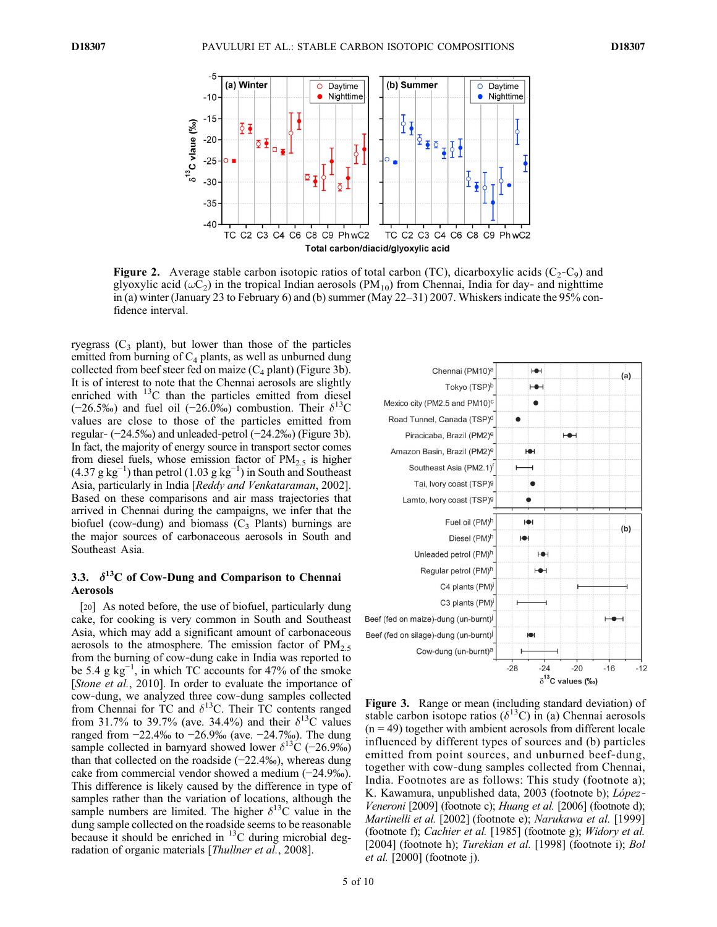

**Figure 2.** Average stable carbon isotopic ratios of total carbon (TC), dicarboxylic acids ( $C_2 - C_9$ ) and glyoxylic acid ( $\omega$ C<sub>2</sub>) in the tropical Indian aerosols (PM<sub>10</sub>) from Chennai, India for day- and nighttime in (a) winter (January 23 to February 6) and (b) summer (May 22–31) 2007. Whiskers indicate the 95% confidence interval.

ryegrass  $(C_3$  plant), but lower than those of the particles emitted from burning of  $C_4$  plants, as well as unburned dung collected from beef steer fed on maize  $(C_4$  plant) (Figure 3b). It is of interest to note that the Chennai aerosols are slightly enriched with  $^{13}$ C than the particles emitted from diesel  $(-26.5\%)$  and fuel oil  $(-26.0\%)$  combustion. Their  $\delta^{13}$ C values are close to those of the particles emitted from regular‐ (−24.5‰) and unleaded‐petrol (−24.2‰) (Figure 3b). In fact, the majority of energy source in transport sector comes from diesel fuels, whose emission factor of  $PM_2$ , is higher  $(4.37 \text{ g kg}^{-1})$  than petrol  $(1.03 \text{ g kg}^{-1})$  in South and Southeast Asia, particularly in India [Reddy and Venkataraman, 2002]. Based on these comparisons and air mass trajectories that arrived in Chennai during the campaigns, we infer that the biofuel (cow-dung) and biomass  $(C_3$  Plants) burnings are the major sources of carbonaceous aerosols in South and Southeast Asia.

## 3.3.  $\delta^{13}$ C of Cow-Dung and Comparison to Chennai Aerosols

[20] As noted before, the use of biofuel, particularly dung cake, for cooking is very common in South and Southeast Asia, which may add a significant amount of carbonaceous aerosols to the atmosphere. The emission factor of  $PM<sub>2.5</sub>$ from the burning of cow‐dung cake in India was reported to be 5.4 g  $kg^{-1}$ , in which TC accounts for 47% of the smoke [Stone et al., 2010]. In order to evaluate the importance of cow‐dung, we analyzed three cow‐dung samples collected from Chennai for TC and  $\delta^{13}$ C. Their TC contents ranged from 31.7% to 39.7% (ave. 34.4%) and their  $\delta^{13}$ C values ranged from −22.4‰ to −26.9‰ (ave. −24.7‰). The dung sample collected in barnyard showed lower  $\delta^{13}C$  (−26.9‰) than that collected on the roadside (−22.4‰), whereas dung cake from commercial vendor showed a medium (−24.9‰). This difference is likely caused by the difference in type of samples rather than the variation of locations, although the sample numbers are limited. The higher  $\delta^{13}$ C value in the dung sample collected on the roadside seems to be reasonable because it should be enriched in  $^{13}$ C during microbial degradation of organic materials [Thullner et al., 2008].

| Chennai (PM10) <sup>a</sup>               | H                                                     | (a)            |
|-------------------------------------------|-------------------------------------------------------|----------------|
| Tokyo (TSP)b                              | ⊢⊕⊣                                                   |                |
| Mexico city (PM2.5 and PM10) <sup>c</sup> |                                                       |                |
| Road Tunnel, Canada (TSP) <sup>d</sup>    |                                                       |                |
| Piracicaba, Brazil (PM2) <sup>e</sup>     | ⊢⊕⊣                                                   |                |
| Amazon Basin, Brazil (PM2) <sup>e</sup>   | ЮН                                                    |                |
| Southeast Asia (PM2.1)f                   |                                                       |                |
| Tai, Ivory coast (TSP)9                   |                                                       |                |
| Lamto, Ivory coast (TSP) <sup>g</sup>     |                                                       |                |
| Fuel oil (PM)h                            | ЮН                                                    | (b)            |
| Diesel (PM)h                              | ЮН                                                    |                |
| Unleaded petrol (PM)h                     | НŪН                                                   |                |
| Regular petrol (PM) <sup>h</sup>          | HOH                                                   |                |
| C4 plants (PM) <sup>i</sup>               |                                                       |                |
| C3 plants (PM) <sup>i</sup>               |                                                       |                |
| Beef (fed on maize)-dung (un-burnt)       |                                                       |                |
| Beef (fed on silage)-dung (un-burnt)      | Ю                                                     |                |
| Cow-dung (un-burnt) <sup>a</sup>          |                                                       |                |
|                                           | $-24$<br>$-28$<br>$-20$<br>$\delta^{13}$ C values (‰) | $-16$<br>$-12$ |

**Figure 3.** Range or mean (including standard deviation) of stable carbon isotope ratios ( $\delta^{13}C$ ) in (a) Chennai aerosols  $(n = 49)$  together with ambient aerosols from different locale influenced by different types of sources and (b) particles emitted from point sources, and unburned beef-dung, together with cow‐dung samples collected from Chennai, India. Footnotes are as follows: This study (footnote a); K. Kawamura, unpublished data, 2003 (footnote b); *López*-Veneroni [2009] (footnote c); Huang et al. [2006] (footnote d); Martinelli et al. [2002] (footnote e); Narukawa et al. [1999] (footnote f); Cachier et al. [1985] (footnote g); Widory et al. [2004] (footnote h); Turekian et al. [1998] (footnote i); Bol et al. [2000] (footnote j).

B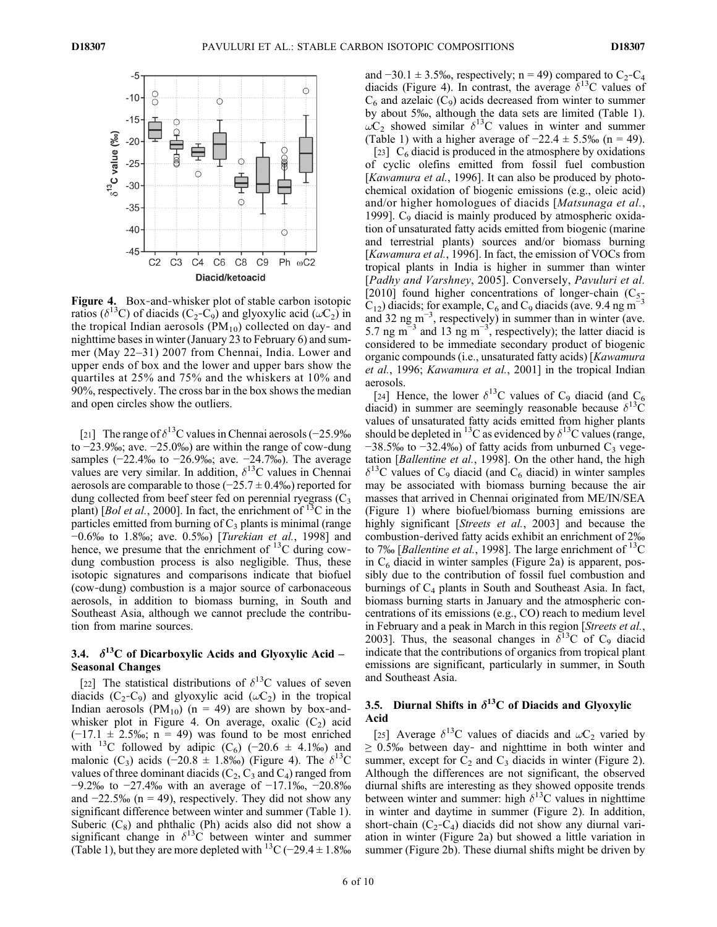

Figure 4. Box-and-whisker plot of stable carbon isotopic ratios ( $\delta^{13}$ C) of diacids (C<sub>2</sub>-C<sub>9</sub>) and glyoxylic acid ( $\omega$ C<sub>2</sub>) in the tropical Indian aerosols  $(PM_{10})$  collected on day- and nighttime bases in winter (January 23 to February 6) and summer (May 22–31) 2007 from Chennai, India. Lower and upper ends of box and the lower and upper bars show the quartiles at 25% and 75% and the whiskers at 10% and 90%, respectively. The cross bar in the box shows the median and open circles show the outliers.

[21] The range of  $\delta^{13}$ C values in Chennai aerosols (−25.9‰ to  $-23.9\%$ ; ave.  $-25.0\%$ ) are within the range of cow-dung samples  $(-22.4\% \text{ to } -26.9\% \text{; ave. } -24.7\% \text{).}$  The average values are very similar. In addition,  $\delta^{13}$ C values in Chennai aerosols are comparable to those  $(-25.7 \pm 0.4\%)$  reported for dung collected from beef steer fed on perennial ryegrass  $(C_3)$ plant) [*Bol et al.*, 2000]. In fact, the enrichment of <sup>13</sup>C in the particles emitted from burning of  $C_3$  plants is minimal (range −0.6‰ to 1.8‰; ave. 0.5‰) [Turekian et al., 1998] and hence, we presume that the enrichment of  $^{13}$ C during cowdung combustion process is also negligible. Thus, these isotopic signatures and comparisons indicate that biofuel (cow‐dung) combustion is a major source of carbonaceous aerosols, in addition to biomass burning, in South and Southeast Asia, although we cannot preclude the contribution from marine sources.

## 3.4.  $\delta^{13}$ C of Dicarboxylic Acids and Glyoxylic Acid – Seasonal Changes

[22] The statistical distributions of  $\delta^{13}$ C values of seven diacids (C<sub>2</sub>-C<sub>9</sub>) and glyoxylic acid ( $\omega$ C<sub>2</sub>) in the tropical Indian aerosols (PM<sub>10</sub>) (n = 49) are shown by box-andwhisker plot in Figure 4. On average, oxalic  $(C_2)$  acid  $(-17.1 \pm 2.5\%)$ ; n = 49) was found to be most enriched with <sup>13</sup>C followed by adipic (C<sub>6</sub>) (-20.6 ± 4.1‰) and malonic (C<sub>3</sub>) acids (−20.8  $\pm$  1.8‰) (Figure 4). The  $\delta^{13}C$ values of three dominant diacids  $(C_2, C_3 \text{ and } C_4)$  ranged from −9.2‰ to −27.4‰ with an average of −17.1‰, −20.8‰ and  $-22.5\%$  (n = 49), respectively. They did not show any significant difference between winter and summer (Table 1). Suberic  $(C_8)$  and phthalic (Ph) acids also did not show a significant change in  $\delta^{13}$ C between winter and summer (Table 1), but they are more depleted with <sup>13</sup>C (−29.4 ± 1.8‰ and  $-30.1 \pm 3.5\%$ , respectively; n = 49) compared to C<sub>2</sub>-C<sub>4</sub> diacids (Figure 4). In contrast, the average  $\delta^{13}$ C values of  $C_6$  and azelaic  $(C_9)$  acids decreased from winter to summer by about 5‰, although the data sets are limited (Table 1).  $\omega C_2$  showed similar  $\delta^{13}$ C values in winter and summer (Table 1) with a higher average of  $-22.4 \pm 5.5\%$  (n = 49).

[23]  $C_6$  diacid is produced in the atmosphere by oxidations of cyclic olefins emitted from fossil fuel combustion [Kawamura et al., 1996]. It can also be produced by photochemical oxidation of biogenic emissions (e.g., oleic acid) and/or higher homologues of diacids [Matsunaga et al., 1999].  $C_9$  diacid is mainly produced by atmospheric oxidation of unsaturated fatty acids emitted from biogenic (marine and terrestrial plants) sources and/or biomass burning [Kawamura et al., 1996]. In fact, the emission of VOCs from tropical plants in India is higher in summer than winter [Padhy and Varshney, 2005]. Conversely, Pavuluri et al. [2010] found higher concentrations of longer-chain  $(C_5$ - $C_{12}$ ) diacids; for example,  $C_6$  and  $C_9$  diacids (ave. 9.4 ng m<sup>-3</sup> and 32 ng m−<sup>3</sup> , respectively) in summer than in winter (ave. 5.7 ng m<sup>-3</sup> and 13 ng m<sup>-3</sup>, respectively); the latter diacid is considered to be immediate secondary product of biogenic organic compounds (i.e., unsaturated fatty acids) [Kawamura et al., 1996; Kawamura et al., 2001] in the tropical Indian aerosols.

[24] Hence, the lower  $\delta^{13}$ C values of C<sub>9</sub> diacid (and C<sub>6</sub> diacid) in summer are seemingly reasonable because  $\delta^{13}$ C values of unsaturated fatty acids emitted from higher plants should be depleted in <sup>13</sup>C as evidenced by  $\delta^{13}$ C values (range,  $-38.5\%$  to  $-32.4\%$ ) of fatty acids from unburned C<sub>3</sub> vegetation [Ballentine et al., 1998]. On the other hand, the high  $\delta^{13}$ C values of C<sub>9</sub> diacid (and C<sub>6</sub> diacid) in winter samples may be associated with biomass burning because the air masses that arrived in Chennai originated from ME/IN/SEA (Figure 1) where biofuel/biomass burning emissions are highly significant [Streets et al., 2003] and because the combustion‐derived fatty acids exhibit an enrichment of 2‰ to 7‰ [Ballentine et al., 1998]. The large enrichment of  $^{13}$ C in  $C_6$  diacid in winter samples (Figure 2a) is apparent, possibly due to the contribution of fossil fuel combustion and burnings of  $C_4$  plants in South and Southeast Asia. In fact, biomass burning starts in January and the atmospheric concentrations of its emissions (e.g., CO) reach to medium level in February and a peak in March in this region [Streets et al., 2003]. Thus, the seasonal changes in  $\delta^{13}$ C of C<sub>9</sub> diacid indicate that the contributions of organics from tropical plant emissions are significant, particularly in summer, in South and Southeast Asia.

# 3.5. Diurnal Shifts in  $\delta^{13}C$  of Diacids and Glyoxylic Acid

[25] Average  $\delta^{13}$ C values of diacids and  $\omega C_2$  varied by  $\geq$  0.5‰ between day- and nighttime in both winter and summer, except for  $\dot{C}_2$  and  $C_3$  diacids in winter (Figure 2). Although the differences are not significant, the observed diurnal shifts are interesting as they showed opposite trends between winter and summer: high  $\delta^{13}$ C values in nighttime in winter and daytime in summer (Figure 2). In addition, short-chain  $(C_2-C_4)$  diacids did not show any diurnal variation in winter (Figure 2a) but showed a little variation in summer (Figure 2b). These diurnal shifts might be driven by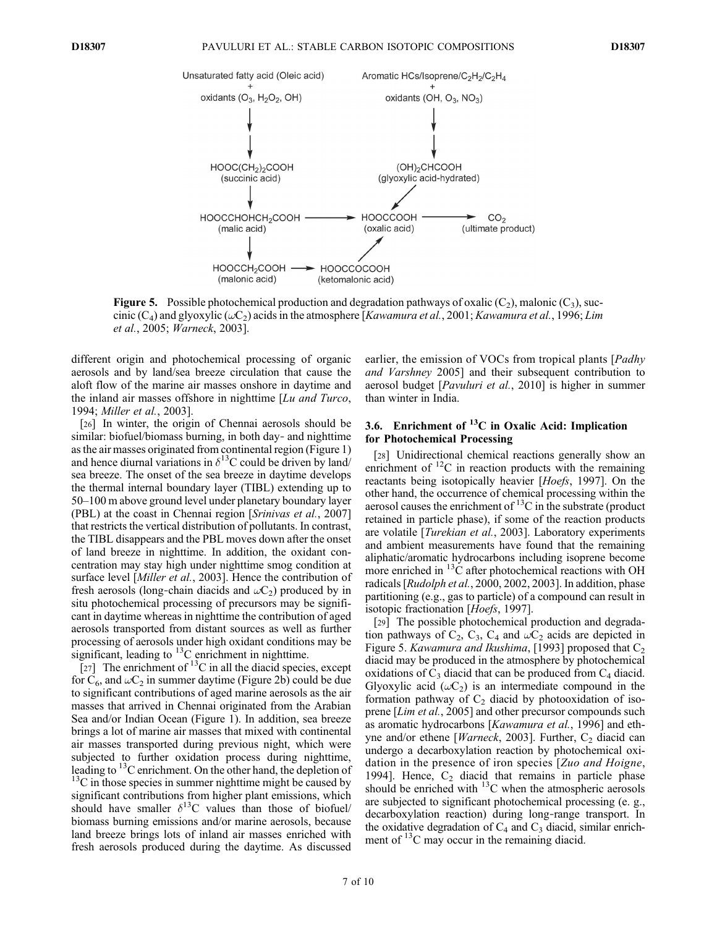

**Figure 5.** Possible photochemical production and degradation pathways of oxalic  $(C_2)$ , malonic  $(C_3)$ , succinic (C<sub>4</sub>) and glyoxylic ( $\omega$ C<sub>2</sub>) acids in the atmosphere [*Kawamura et al.*, 2001; *Kawamura et al.*, 1996; *Lim* et al., 2005; Warneck, 2003].

different origin and photochemical processing of organic aerosols and by land/sea breeze circulation that cause the aloft flow of the marine air masses onshore in daytime and the inland air masses offshore in nighttime [Lu and Turco, 1994; Miller et al., 2003].

[26] In winter, the origin of Chennai aerosols should be similar: biofuel/biomass burning, in both day- and nighttime as the air masses originated from continental region (Figure 1) and hence diurnal variations in  $\delta^{13}$ C could be driven by land/ sea breeze. The onset of the sea breeze in daytime develops the thermal internal boundary layer (TIBL) extending up to 50–100 m above ground level under planetary boundary layer (PBL) at the coast in Chennai region [Srinivas et al., 2007] that restricts the vertical distribution of pollutants. In contrast, the TIBL disappears and the PBL moves down after the onset of land breeze in nighttime. In addition, the oxidant concentration may stay high under nighttime smog condition at surface level [Miller et al., 2003]. Hence the contribution of fresh aerosols (long-chain diacids and  $\omega C_2$ ) produced by in situ photochemical processing of precursors may be significant in daytime whereas in nighttime the contribution of aged aerosols transported from distant sources as well as further processing of aerosols under high oxidant conditions may be significant, leading to  $13C$  enrichment in nighttime.

[27] The enrichment of  $^{13}$ C in all the diacid species, except for  $C_6$ , and  $\omega C_2$  in summer daytime (Figure 2b) could be due to significant contributions of aged marine aerosols as the air masses that arrived in Chennai originated from the Arabian Sea and/or Indian Ocean (Figure 1). In addition, sea breeze brings a lot of marine air masses that mixed with continental air masses transported during previous night, which were subjected to further oxidation process during nighttime, leading to  $13^{\circ}$ C enrichment. On the other hand, the depletion of  $13<sup>13</sup>C$  in those species in summer nighttime might be caused by significant contributions from higher plant emissions, which should have smaller  $\delta^{13}$ C values than those of biofuel/ biomass burning emissions and/or marine aerosols, because land breeze brings lots of inland air masses enriched with fresh aerosols produced during the daytime. As discussed

earlier, the emission of VOCs from tropical plants [*Padhy* and Varshney 2005] and their subsequent contribution to aerosol budget [Pavuluri et al., 2010] is higher in summer than winter in India.

# 3.6. Enrichment of  ${}^{13}C$  in Oxalic Acid: Implication for Photochemical Processing

[28] Unidirectional chemical reactions generally show an enrichment of  ${}^{12}C$  in reaction products with the remaining reactants being isotopically heavier [Hoefs, 1997]. On the other hand, the occurrence of chemical processing within the aerosol causes the enrichment of  $^{13}$ C in the substrate (product retained in particle phase), if some of the reaction products are volatile [Turekian et al., 2003]. Laboratory experiments and ambient measurements have found that the remaining aliphatic/aromatic hydrocarbons including isoprene become more enriched in <sup>13</sup>C after photochemical reactions with OH radicals [Rudolph et al., 2000, 2002, 2003]. In addition, phase partitioning (e.g., gas to particle) of a compound can result in isotopic fractionation [Hoefs, 1997].

[29] The possible photochemical production and degradation pathways of  $C_2$ ,  $C_3$ ,  $C_4$  and  $\omega C_2$  acids are depicted in Figure 5. Kawamura and Ikushima, [1993] proposed that  $C_2$ diacid may be produced in the atmosphere by photochemical oxidations of  $C_3$  diacid that can be produced from  $C_4$  diacid. Glyoxylic acid  $(\omega C_2)$  is an intermediate compound in the formation pathway of  $C_2$  diacid by photooxidation of isoprene [Lim et al., 2005] and other precursor compounds such as aromatic hydrocarbons [Kawamura et al., 1996] and ethyne and/or ethene [*Warneck*, 2003]. Further,  $C_2$  diacid can undergo a decarboxylation reaction by photochemical oxidation in the presence of iron species [Zuo and Hoigne, 1994]. Hence,  $C_2$  diacid that remains in particle phase should be enriched with  $^{13}$ C when the atmospheric aerosols are subjected to significant photochemical processing (e. g., decarboxylation reaction) during long‐range transport. In the oxidative degradation of  $C_4$  and  $C_3$  diacid, similar enrichment of  $^{13}$ C may occur in the remaining diacid.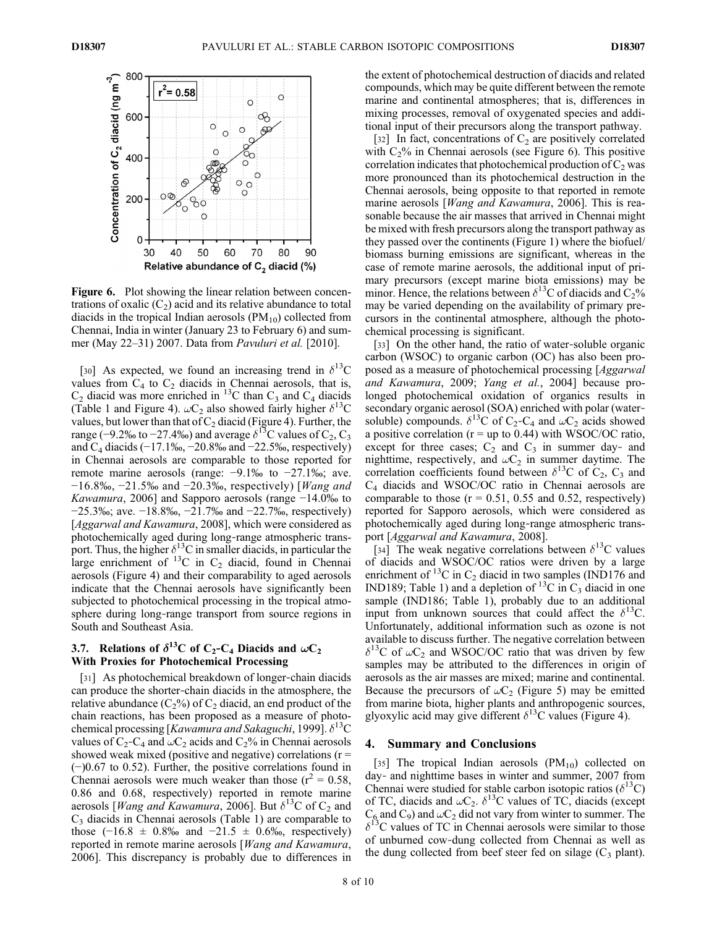

Figure 6. Plot showing the linear relation between concentrations of oxalic  $(C_2)$  acid and its relative abundance to total diacids in the tropical Indian aerosols  $(PM_{10})$  collected from Chennai, India in winter (January 23 to February 6) and summer (May 22–31) 2007. Data from Pavuluri et al. [2010].

[30] As expected, we found an increasing trend in  $\delta^{13}$ C values from  $C_4$  to  $C_2$  diacids in Chennai aerosols, that is, C<sub>2</sub> diacid was more enriched in <sup>13</sup>C than C<sub>3</sub> and C<sub>4</sub> diacids (Table 1 and Figure 4).  $\omega C_2$  also showed fairly higher  $\delta^{13}C$ values, but lower than that of  $C_2$  diacid (Figure 4). Further, the range (−9.2‰ to −27.4‰) and average  $\delta^{13}$ C values of C<sub>2</sub>, C<sub>3</sub> and  $C_4$  diacids (−17.1‰, −20.8‰ and −22.5‰, respectively) in Chennai aerosols are comparable to those reported for remote marine aerosols (range: −9.1‰ to −27.1‰; ave. −16.8‰, −21.5‰ and −20.3‰, respectively) [Wang and Kawamura, 2006] and Sapporo aerosols (range −14.0‰ to −25.3‰; ave. −18.8‰, −21.7‰ and −22.7‰, respectively) [*Aggarwal and Kawamura*, 2008], which were considered as photochemically aged during long‐range atmospheric transport. Thus, the higher  $\delta^{13}$ C in smaller diacids, in particular the large enrichment of  ${}^{13}C$  in  $C_2$  diacid, found in Chennai aerosols (Figure 4) and their comparability to aged aerosols indicate that the Chennai aerosols have significantly been subjected to photochemical processing in the tropical atmosphere during long‐range transport from source regions in South and Southeast Asia.

# 3.7. Relations of  $\delta^{13}C$  of C<sub>2</sub>-C<sub>4</sub> Diacids and  $\omega C_2$ With Proxies for Photochemical Processing

[31] As photochemical breakdown of longer-chain diacids can produce the shorter‐chain diacids in the atmosphere, the relative abundance  $(C_2\%)$  of  $C_2$  diacid, an end product of the chain reactions, has been proposed as a measure of photochemical processing [Kawamura and Sakaguchi, 1999].  $\delta^{13}$ C values of  $C_2$ -C<sub>4</sub> and  $\omega C_2$  acids and  $C_2$ % in Chennai aerosols showed weak mixed (positive and negative) correlations  $(r =$ (−)0.67 to 0.52). Further, the positive correlations found in Chennai aerosols were much weaker than those ( $r^2 = 0.58$ , 0.86 and 0.68, respectively) reported in remote marine aerosols [*Wang and Kawamura*, 2006]. But  $\delta^{13}$ C of C<sub>2</sub> and  $C_3$  diacids in Chennai aerosols (Table 1) are comparable to those  $(-16.8 \pm 0.8\%$  and  $-21.5 \pm 0.6\%$ , respectively) reported in remote marine aerosols [Wang and Kawamura, 2006]. This discrepancy is probably due to differences in the extent of photochemical destruction of diacids and related compounds, which may be quite different between the remote marine and continental atmospheres; that is, differences in mixing processes, removal of oxygenated species and additional input of their precursors along the transport pathway.

[32] In fact, concentrations of  $C_2$  are positively correlated with  $C_2$ % in Chennai aerosols (see Figure 6). This positive correlation indicates that photochemical production of  $C_2$  was more pronounced than its photochemical destruction in the Chennai aerosols, being opposite to that reported in remote marine aerosols [*Wang and Kawamura*, 2006]. This is reasonable because the air masses that arrived in Chennai might be mixed with fresh precursors along the transport pathway as they passed over the continents (Figure 1) where the biofuel/ biomass burning emissions are significant, whereas in the case of remote marine aerosols, the additional input of primary precursors (except marine biota emissions) may be minor. Hence, the relations between  $\delta^{13}$ C of diacids and C<sub>2</sub>% may be varied depending on the availability of primary precursors in the continental atmosphere, although the photochemical processing is significant.

[33] On the other hand, the ratio of water-soluble organic carbon (WSOC) to organic carbon (OC) has also been proposed as a measure of photochemical processing [Aggarwal and Kawamura, 2009; Yang et al., 2004] because prolonged photochemical oxidation of organics results in secondary organic aerosol (SOA) enriched with polar (watersoluble) compounds.  $\delta^{13}$ C of C<sub>2</sub>-C<sub>4</sub> and  $\omega$ C<sub>2</sub> acids showed a positive correlation ( $r = up$  to 0.44) with WSOC/OC ratio, except for three cases;  $C_2$  and  $C_3$  in summer day- and nighttime, respectively, and  $\omega C_2$  in summer daytime. The correlation coefficients found between  $\delta^{13}$ C of C<sub>2</sub>, C<sub>3</sub> and C4 diacids and WSOC/OC ratio in Chennai aerosols are comparable to those  $(r = 0.51, 0.55, 0.52,$  respectively) reported for Sapporo aerosols, which were considered as photochemically aged during long‐range atmospheric transport [Aggarwal and Kawamura, 2008].

[34] The weak negative correlations between  $\delta^{13}$ C values of diacids and WSOC/OC ratios were driven by a large enrichment of  $^{13}$ C in C<sub>2</sub> diacid in two samples (IND176 and IND189; Table 1) and a depletion of  $^{13}$ C in C<sub>3</sub> diacid in one sample (IND186; Table 1), probably due to an additional input from unknown sources that could affect the  $\delta^{13}$ C. Unfortunately, additional information such as ozone is not available to discuss further. The negative correlation between  $\delta^{13}$ C of  $\omega C_2$  and WSOC/OC ratio that was driven by few samples may be attributed to the differences in origin of aerosols as the air masses are mixed; marine and continental. Because the precursors of  $\omega C_2$  (Figure 5) may be emitted from marine biota, higher plants and anthropogenic sources, glyoxylic acid may give different  $\delta^{13}$ C values (Figure 4).

#### 4. Summary and Conclusions

[35] The tropical Indian aerosols  $(PM_{10})$  collected on day‐ and nighttime bases in winter and summer, 2007 from Chennai were studied for stable carbon isotopic ratios ( $\delta^{13}$ C) of TC, diacids and  $\omega C_2$ .  $\delta^{13}$ C values of TC, diacids (except and C<sub>9</sub>) and  $\omega$ C<sub>2</sub> did not vary from winter to summer. The  $\delta^{13}$ C values of TC in Chennai aerosols were similar to those of unburned cow‐dung collected from Chennai as well as the dung collected from beef steer fed on silage  $(C_3$  plant).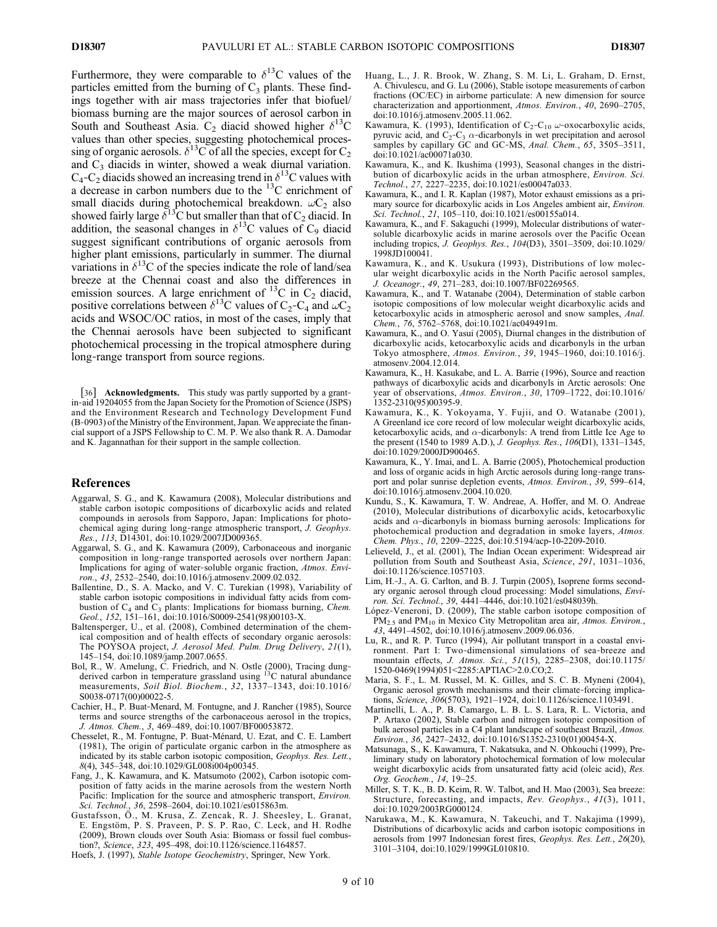Furthermore, they were comparable to  $\delta^{13}$ C values of the particles emitted from the burning of  $C_3$  plants. These findings together with air mass trajectories infer that biofuel/ biomass burning are the major sources of aerosol carbon in South and Southeast Asia. C<sub>2</sub> diacid showed higher  $\delta^{13}C$ values than other species, suggesting photochemical processing of organic aerosols.  $\delta^{13}$ C of all the species, except for C<sub>2</sub> and  $C_3$  diacids in winter, showed a weak diurnal variation.  $C_4$ - $C_2$  diacids showed an increasing trend in  $\delta^{13}$ C values with a decrease in carbon numbers due to the 13C enrichment of small diacids during photochemical breakdown.  $\omega C_2$  also showed fairly large  $\delta^{13}C$  but smaller than that of  $C_2$  diacid. In addition, the seasonal changes in  $\delta^{13}$ C values of C<sub>9</sub> diacid suggest significant contributions of organic aerosols from higher plant emissions, particularly in summer. The diurnal variations in  $\delta^{13}$ C of the species indicate the role of land/sea breeze at the Chennai coast and also the differences in emission sources. A large enrichment of  $^{13}$ C in C<sub>2</sub> diacid, positive correlations between  $\delta^{13}$ C values of C<sub>2</sub>-C<sub>4</sub> and  $\omega$ C<sub>2</sub> acids and WSOC/OC ratios, in most of the cases, imply that the Chennai aerosols have been subjected to significant photochemical processing in the tropical atmosphere during long‐range transport from source regions.

[36] Acknowledgments. This study was partly supported by a grantin‐aid 19204055 from the Japan Society for the Promotion of Science (JSPS) and the Environment Research and Technology Development Fund (B‐0903) of the Ministry of the Environment, Japan. We appreciate the financial support of a JSPS Fellowship to C. M. P. We also thank R. A. Damodar and K. Jagannathan for their support in the sample collection.

#### References

- Aggarwal, S. G., and K. Kawamura (2008), Molecular distributions and stable carbon isotopic compositions of dicarboxylic acids and related compounds in aerosols from Sapporo, Japan: Implications for photochemical aging during long-range atmospheric transport, J. Geophys. Res., 113, D14301, doi:10.1029/2007JD009365.
- Aggarwal, S. G., and K. Kawamura (2009), Carbonaceous and inorganic composition in long‐range transported aerosols over northern Japan: Implications for aging of water-soluble organic fraction, Atmos. Environ., 43, 2532–2540, doi:10.1016/j.atmosenv.2009.02.032.
- Ballentine, D., S. A. Macko, and V. C. Turekian (1998), Variability of stable carbon isotopic compositions in individual fatty acids from combustion of  $C_4$  and  $C_3$  plants: Implications for biomass burning, *Chem.* Geol., 152, 151–161, doi:10.1016/S0009-2541(98)00103-X.
- Baltensperger, U., et al. (2008), Combined determination of the chemical composition and of health effects of secondary organic aerosols: The POYSOA project, J. Aerosol Med. Pulm. Drug Delivery, 21(1), 145–154, doi:10.1089/jamp.2007.0655.
- Bol, R., W. Amelung, C. Friedrich, and N. Ostle (2000), Tracing dung-<br>derived carbon in temperature grassland using <sup>13</sup>C natural abundance measurements, Soil Biol. Biochem., 32, 1337-1343, doi:10.1016/ S0038-0717(00)00022-5.
- Cachier, H., P. Buat‐Menard, M. Fontugne, and J. Rancher (1985), Source terms and source strengths of the carbonaceous aerosol in the tropics, J. Atmos. Chem., 3, 469–489, doi:10.1007/BF00053872.
- Chesselet, R., M. Fontugne, P. Buat‐Ménard, U. Ezat, and C. E. Lambert (1981), The origin of particulate organic carbon in the atmosphere as indicated by its stable carbon isotopic composition, Geophys. Res. Lett., 8(4), 345–348, doi:10.1029/GL008i004p00345.
- Fang, J., K. Kawamura, and K. Matsumoto (2002), Carbon isotopic composition of fatty acids in the marine aerosols from the western North Pacific: Implication for the source and atmospheric transport, *Environ*. Sci. Technol., 36, 2598-2604, doi:10.1021/es015863m.
- Gustafsson, Ö., M. Krusa, Z. Zencak, R. J. Sheesley, L. Granat, E. Engstöm, P. S. Praveen, P. S. P. Rao, C. Leck, and H. Rodhe (2009), Brown clouds over South Asia: Biomass or fossil fuel combustion?, Science, 323, 495–498, doi:10.1126/science.1164857.
- Hoefs, J. (1997), Stable Isotope Geochemistry, Springer, New York.
- Huang, L., J. R. Brook, W. Zhang, S. M. Li, L. Graham, D. Ernst, A. Chivulescu, and G. Lu (2006), Stable isotope measurements of carbon fractions (OC/EC) in airborne particulate: A new dimension for source characterization and apportionment, Atmos. Environ., 40, 2690–2705, doi:10.1016/j.atmosenv.2005.11.062.
- Kawamura, K. (1993), Identification of C<sub>2</sub>-C<sub>10</sub>  $\omega$ -oxocarboxylic acids, pyruvic acid, and  $C_2-C_3$   $\alpha$ -dicarbonyls in wet precipitation and aerosol samples by capillary GC and GC-MS, Anal. Chem., 65, 3505–3511, doi:10.1021/ac00071a030.
- Kawamura, K., and K. Ikushima (1993), Seasonal changes in the distribution of dicarboxylic acids in the urban atmosphere, Environ. Sci. Technol., 27, 2227–2235, doi:10.1021/es00047a033.
- Kawamura, K., and I. R. Kaplan (1987), Motor exhaust emissions as a primary source for dicarboxylic acids in Los Angeles ambient air, Environ. Sci. Technol., 21, 105–110, doi:10.1021/es00155a014.
- Kawamura, K., and F. Sakaguchi (1999), Molecular distributions of water‐ soluble dicarboxylic acids in marine aerosols over the Pacific Ocean including tropics, J. Geophys. Res., 104(D3), 3501–3509, doi:10.1029/ 1998JD100041.
- Kawamura, K., and K. Usukura (1993), Distributions of low molecular weight dicarboxylic acids in the North Pacific aerosol samples, J. Oceanogr., 49, 271–283, doi:10.1007/BF02269565.
- Kawamura, K., and T. Watanabe (2004), Determination of stable carbon isotopic compositions of low molecular weight dicarboxylic acids and ketocarboxylic acids in atmospheric aerosol and snow samples, Anal. Chem., 76, 5762–5768, doi:10.1021/ac049491m.
- Kawamura, K., and O. Yasui (2005), Diurnal changes in the distribution of dicarboxylic acids, ketocarboxylic acids and dicarbonyls in the urban Tokyo atmosphere, Atmos. Environ., 39, 1945–1960, doi:10.1016/j. atmosenv.2004.12.014.
- Kawamura, K., H. Kasukabe, and L. A. Barrie (1996), Source and reaction pathways of dicarboxylic acids and dicarbonyls in Arctic aerosols: One year of observations, Atmos. Environ., 30, 1709–1722, doi:10.1016/ 1352-2310(95)00395-9.
- Kawamura, K., K. Yokoyama, Y. Fujii, and O. Watanabe (2001), A Greenland ice core record of low molecular weight dicarboxylic acids, ketocarboxylic acids, and  $\alpha$ -dicarbonyls: A trend from Little Ice Age to the present (1540 to 1989 A.D.), J. Geophys. Res., 106(D1), 1331–1345, doi:10.1029/2000JD900465.
- Kawamura, K., Y. Imai, and L. A. Barrie (2005), Photochemical production and loss of organic acids in high Arctic aerosols during long‐range transport and polar sunrise depletion events, Atmos. Environ., 39, 599–614, doi:10.1016/j.atmosenv.2004.10.020.
- Kundu, S., K. Kawamura, T. W. Andreae, A. Hoffer, and M. O. Andreae (2010), Molecular distributions of dicarboxylic acids, ketocarboxylic acids and  $\alpha$ -dicarbonyls in biomass burning aerosols: Implications for photochemical production and degradation in smoke layers, Atmos. Chem. Phys., 10, 2209–2225, doi:10.5194/acp-10-2209-2010.
- Lelieveld, J., et al. (2001), The Indian Ocean experiment: Widespread air pollution from South and Southeast Asia, Science, 291, 1031–1036, doi:10.1126/science.1057103.
- Lim, H.‐J., A. G. Carlton, and B. J. Turpin (2005), Isoprene forms secondary organic aerosol through cloud processing: Model simulations, Environ. Sci. Technol., 39, 4441–4446, doi:10.1021/es048039h.
- López‐Veneroni, D. (2009), The stable carbon isotope composition of  $PM_{2.5}$  and  $PM_{10}$  in Mexico City Metropolitan area air, Atmos. Environ., 43, 4491–4502, doi:10.1016/j.atmosenv.2009.06.036.
- Lu, R., and R. P. Turco (1994), Air pollutant transport in a coastal environment. Part I: Two-dimensional simulations of sea-breeze and mountain effects, J. Atmos. Sci., 51(15), 2285–2308, doi:10.1175/ 1520-0469(1994)051<2285:APTIAC>2.0.CO;2.
- Maria, S. F., L. M. Russel, M. K. Gilles, and S. C. B. Myneni (2004), Organic aerosol growth mechanisms and their climate‐forcing implications, Science, 306(5703), 1921–1924, doi:10.1126/science.1103491.
- Martinelli, L. A., P. B. Camargo, L. B. L. S. Lara, R. L. Victoria, and P. Artaxo (2002), Stable carbon and nitrogen isotopic composition of bulk aerosol particles in a C4 plant landscape of southeast Brazil, Atmos. Environ., 36, 2427–2432, doi:10.1016/S1352-2310(01)00454-X.
- Matsunaga, S., K. Kawamura, T. Nakatsuka, and N. Ohkouchi (1999), Preliminary study on laboratory photochemical formation of low molecular weight dicarboxylic acids from unsaturated fatty acid (oleic acid), Res. Org. Geochem., 14, 19–25.
- Miller, S. T. K., B. D. Keim, R. W. Talbot, and H. Mao (2003), Sea breeze: Structure, forecasting, and impacts, Rev. Geophys., 41(3), 1011, doi:10.1029/2003RG000124.
- Narukawa, M., K. Kawamura, N. Takeuchi, and T. Nakajima (1999), Distributions of dicarboxylic acids and carbon isotopic compositions in aerosols from 1997 Indonesian forest fires, Geophys. Res. Lett., 26(20), 3101–3104, doi:10.1029/1999GL010810.